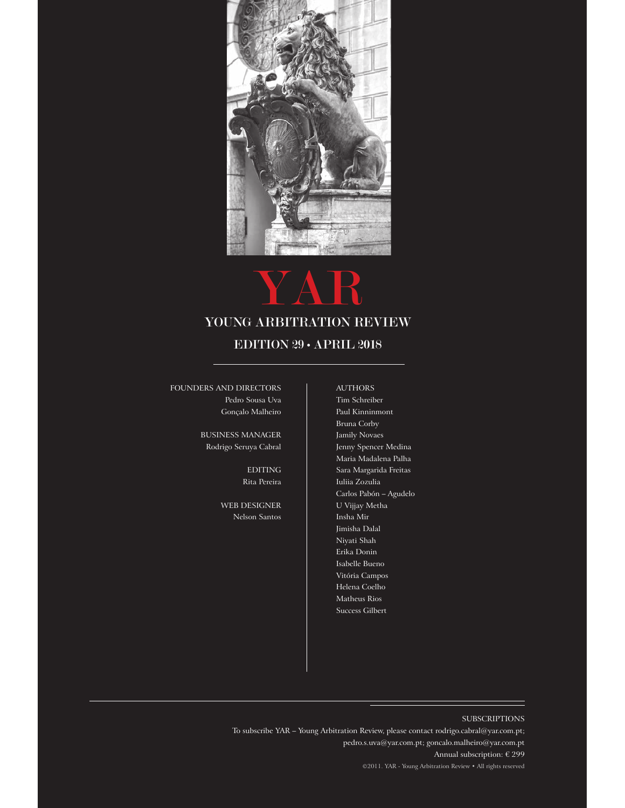

# YAR

# YOUNG ARBITRATION REVIEW

# EDITION 29 • APRIL 2018

foundeRs And diRecToRs Pedro Sousa Uva Gonçalo Malheiro

> business mAnAgeR Rodrigo Seruya Cabral

> > **EDITING** Rita pereira

WEB DESIGNER Nelson Santos

**AUTHORS** Tim Schreiber Paul Kinninmont Bruna Corby Jamily Novaes Jenny Spencer Medina Maria Madalena Palha Sara Margarida Freitas Iuliia Zozulia Carlos Pabón – Agudelo U Vijjay Metha Insha Mir Jimisha Dalal Niyati Shah Erika Donin Isabelle Bueno Vitória Campos helena Coelho Matheus Rios Success Gilbert

# subscRipTions

To subscribe YAR – Young Arbitration Review, please contact rodrigo.cabral@yar.com.pt; pedro.s.uva@yar.com.pt; goncalo.malheiro@yar.com.pt Annual subscription: € 299 ©2011. YAR - Young Arbitration Review • All rights reserved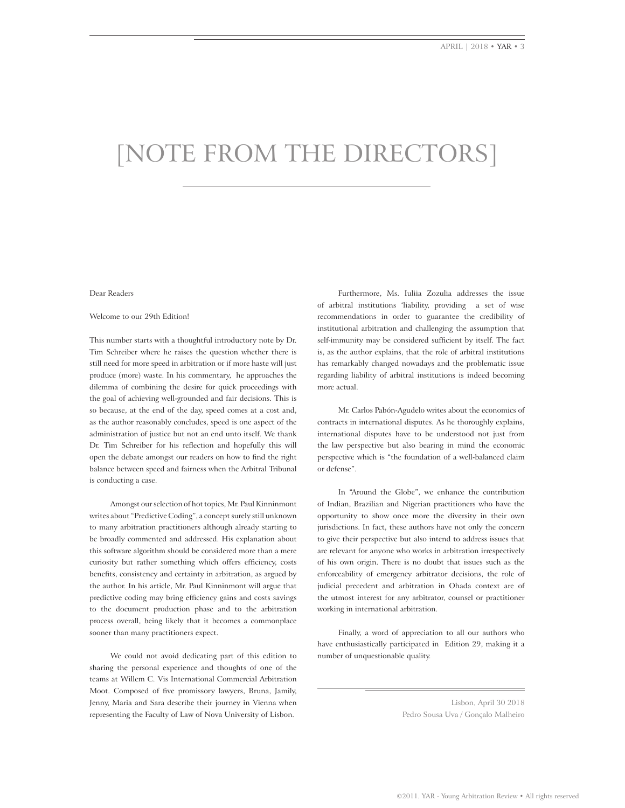# [noTe fRom The diRecToRs]

#### Dear Readers

## Welcome to our 29th Edition!

This number starts with a thoughtful introductory note by Dr. Tim Schreiber where he raises the question whether there is still need for more speed in arbitration or if more haste will just produce (more) waste. In his commentary, he approaches the dilemma of combining the desire for quick proceedings with the goal of achieving well-grounded and fair decisions. This is so because, at the end of the day, speed comes at a cost and, as the author reasonably concludes, speed is one aspect of the administration of justice but not an end unto itself. we thank Dr. Tim Schreiber for his refection and hopefully this will open the debate amongst our readers on how to fnd the right balance between speed and fairness when the Arbitral Tribunal is conducting a case.

Amongst our selection of hot topics, Mr. Paul Kinninmont writes about "Predictive Coding", a concept surely still unknown to many arbitration practitioners although already starting to be broadly commented and addressed. his explanation about this software algorithm should be considered more than a mere curiosity but rather something which offers efficiency, costs benefts, consistency and certainty in arbitration, as argued by the author. In his article, Mr. Paul Kinninmont will argue that predictive coding may bring efficiency gains and costs savings to the document production phase and to the arbitration process overall, being likely that it becomes a commonplace sooner than many practitioners expect.

we could not avoid dedicating part of this edition to sharing the personal experience and thoughts of one of the teams at willem C. Vis International Commercial Arbitration Moot. Composed of fve promissory lawyers, Bruna, Jamily, Jenny, Maria and Sara describe their journey in Vienna when representing the Faculty of Law of Nova University of Lisbon.

Furthermore, Ms. Iuliia Zozulia addresses the issue of arbitral institutions 'liability, providing a set of wise recommendations in order to guarantee the credibility of institutional arbitration and challenging the assumption that self-immunity may be considered sufficient by itself. The fact is, as the author explains, that the role of arbitral institutions has remarkably changed nowadays and the problematic issue regarding liability of arbitral institutions is indeed becoming more actual.

Mr. Carlos Pabón-Agudelo writes about the economics of contracts in international disputes. As he thoroughly explains, international disputes have to be understood not just from the law perspective but also bearing in mind the economic perspective which is "the foundation of a well-balanced claim or defense".

In "Around the globe", we enhance the contribution of Indian, Brazilian and Nigerian practitioners who have the opportunity to show once more the diversity in their own jurisdictions. In fact, these authors have not only the concern to give their perspective but also intend to address issues that are relevant for anyone who works in arbitration irrespectively of his own origin. There is no doubt that issues such as the enforceability of emergency arbitrator decisions, the role of judicial precedent and arbitration in Ohada context are of the utmost interest for any arbitrator, counsel or practitioner working in international arbitration.

Finally, a word of appreciation to all our authors who have enthusiastically participated in Edition 29, making it a number of unquestionable quality.

Lisbon, April 30 2018 Pedro Sousa Uva / Gonçalo Malheiro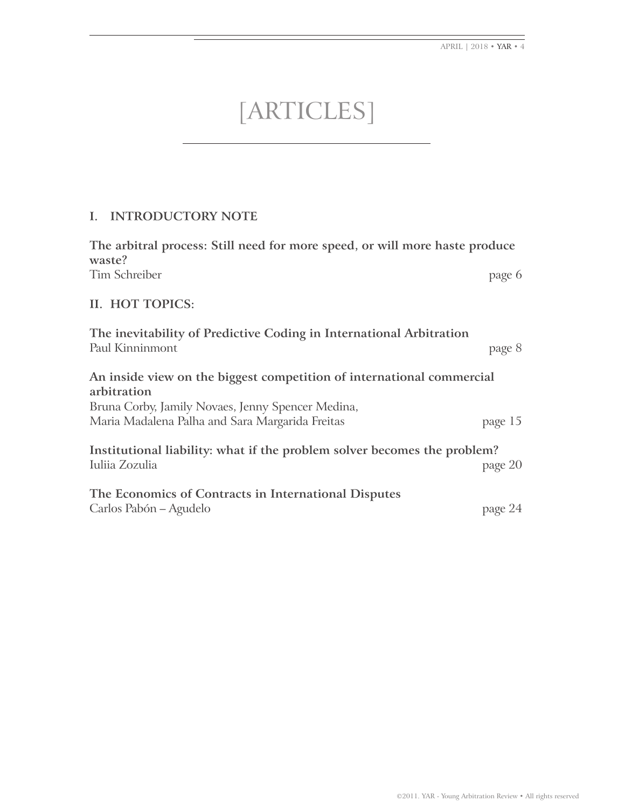APRIL | 2018 • YAR • 4

# [ARTicles]

# **I. INTRODUCTORY NOTE**

**The arbitral process: Still need for more speed, or will more haste produce waste?** Tim Schreiber page 6

# **II. HOT TOPICS:**

| The inevitability of Predictive Coding in International Arbitration<br>Paul Kinninmont                                                    | page 8  |
|-------------------------------------------------------------------------------------------------------------------------------------------|---------|
| An inside view on the biggest competition of international commercial<br>arbitration<br>Bruna Corby, Jamily Novaes, Jenny Spencer Medina, |         |
| Maria Madalena Palha and Sara Margarida Freitas                                                                                           | page 15 |
| Institutional liability: what if the problem solver becomes the problem?<br>Iuliia Zozulia                                                | page 20 |
| The Economics of Contracts in International Disputes<br>Carlos Pabón – Agudelo                                                            | page 24 |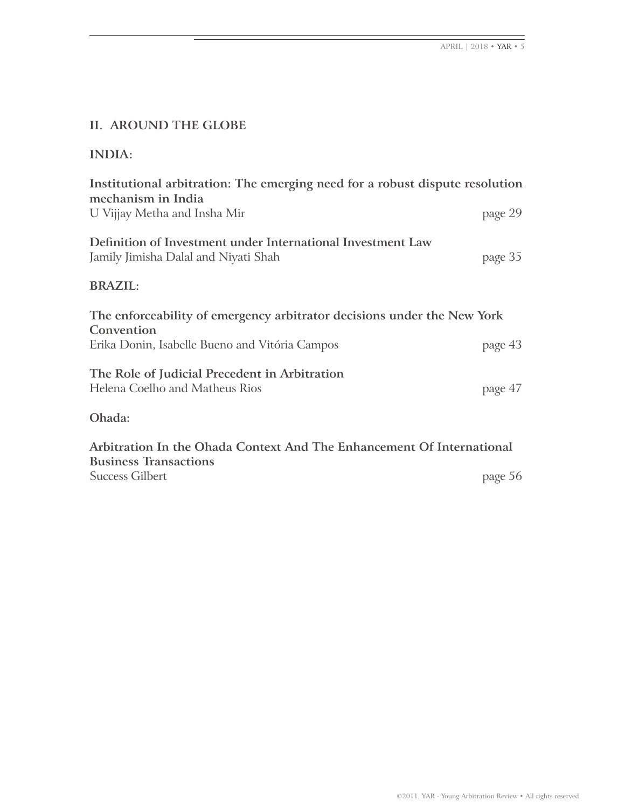# **II. AROUND THE GLOBE**

| Institutional arbitration: The emerging need for a robust dispute resolution<br>mechanism in India  |         |
|-----------------------------------------------------------------------------------------------------|---------|
| U Vijjay Metha and Insha Mir                                                                        | page 29 |
| Definition of Investment under International Investment Law<br>Jamily Jimisha Dalal and Niyati Shah | page 35 |
| <b>BRAZIL:</b>                                                                                      |         |
| The enforceability of emergency arbitrator decisions under the New York                             |         |
| Convention                                                                                          |         |
| Erika Donin, Isabelle Bueno and Vitória Campos                                                      | page 43 |
| The Role of Judicial Precedent in Arbitration<br>Helena Coelho and Matheus Rios                     | page 47 |

**Arbitration In the Ohada Context And The Enhancement Of International Business Transactions** Success Gilbert page 56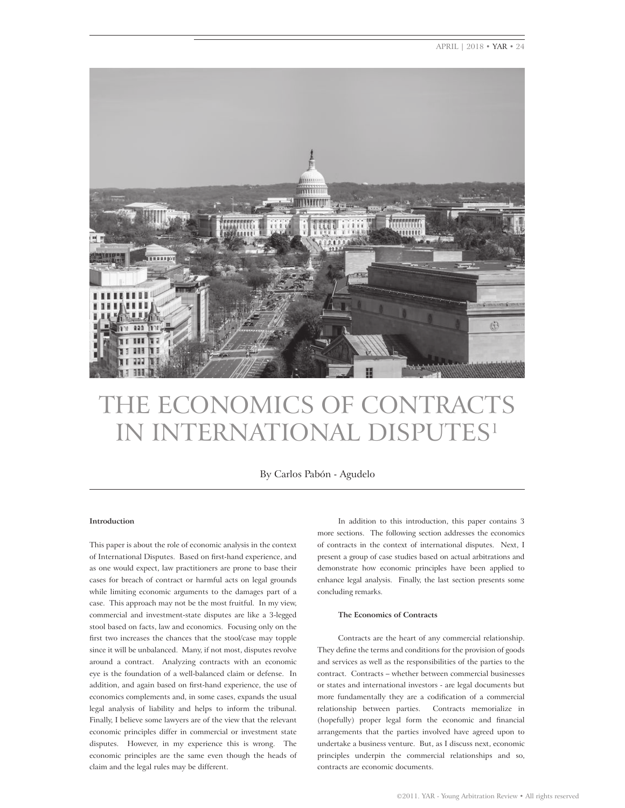APRIL | 2018 • YAR • 24



# The economics of conTRAcTs in inTeRnATionAl dispuTes1

By Carlos Pabón - Agudelo

## **Introduction**

This paper is about the role of economic analysis in the context of International Disputes. Based on frst-hand experience, and as one would expect, law practitioners are prone to base their cases for breach of contract or harmful acts on legal grounds while limiting economic arguments to the damages part of a case. This approach may not be the most fruitful. In my view, commercial and investment-state disputes are like a 3-legged stool based on facts, law and economics. Focusing only on the frst two increases the chances that the stool/case may topple since it will be unbalanced. Many, if not most, disputes revolve around a contract. Analyzing contracts with an economic eye is the foundation of a well-balanced claim or defense. In addition, and again based on frst-hand experience, the use of economics complements and, in some cases, expands the usual legal analysis of liability and helps to inform the tribunal. Finally, I believe some lawyers are of the view that the relevant economic principles differ in commercial or investment state disputes. However, in my experience this is wrong. The economic principles are the same even though the heads of claim and the legal rules may be different.

In addition to this introduction, this paper contains 3 more sections. The following section addresses the economics of contracts in the context of international disputes. Next, I present a group of case studies based on actual arbitrations and demonstrate how economic principles have been applied to enhance legal analysis. Finally, the last section presents some concluding remarks.

#### **The Economics of Contracts**

Contracts are the heart of any commercial relationship. They defne the terms and conditions for the provision of goods and services as well as the responsibilities of the parties to the contract. Contracts – whether between commercial businesses or states and international investors - are legal documents but more fundamentally they are a codifcation of a commercial relationship between parties. Contracts memorialize in (hopefully) proper legal form the economic and fnancial arrangements that the parties involved have agreed upon to undertake a business venture. But, as I discuss next, economic principles underpin the commercial relationships and so, contracts are economic documents.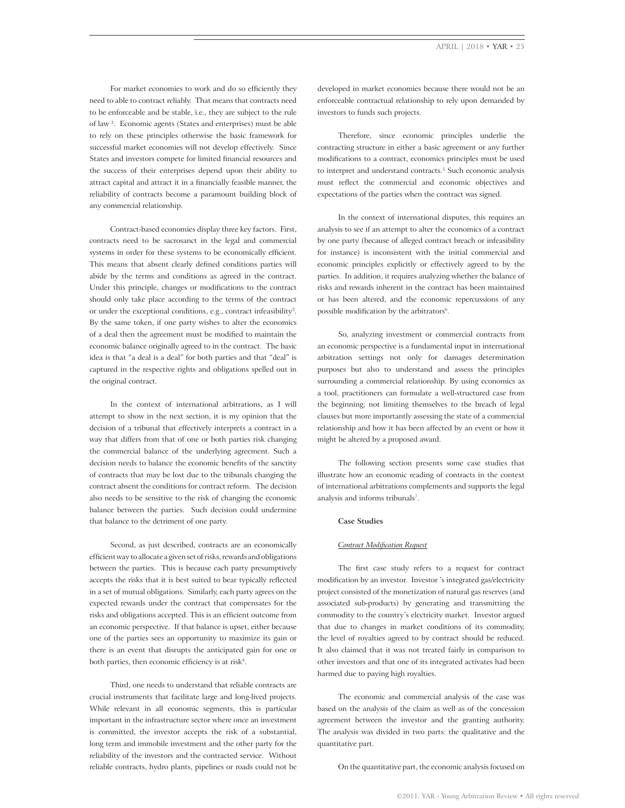For market economies to work and do so efficiently they need to able to contract reliably. That means that contracts need to be enforceable and be stable, i.e., they are subject to the rule of law <sup>2</sup>. Economic agents (States and enterprises) must be able to rely on these principles otherwise the basic framework for successful market economies will not develop effectively. Since States and investors compete for limited fnancial resources and the success of their enterprises depend upon their ability to attract capital and attract it in a fnancially feasible manner, the reliability of contracts become a paramount building block of any commercial relationship.

Contract-based economies display three key factors. First, contracts need to be sacrosanct in the legal and commercial systems in order for these systems to be economically efficient. This means that absent clearly defned conditions parties will abide by the terms and conditions as agreed in the contract. Under this principle, changes or modifcations to the contract should only take place according to the terms of the contract or under the exceptional conditions, e.g., contract infeasibility<sup>3</sup>. By the same token, if one party wishes to alter the economics of a deal then the agreement must be modifed to maintain the economic balance originally agreed to in the contract. The basic idea is that "a deal is a deal" for both parties and that "deal" is captured in the respective rights and obligations spelled out in the original contract.

In the context of international arbitrations, as I will attempt to show in the next section, it is my opinion that the decision of a tribunal that effectively interprets a contract in a way that differs from that of one or both parties risk changing the commercial balance of the underlying agreement. Such a decision needs to balance the economic benefts of the sanctity of contracts that may be lost due to the tribunals changing the contract absent the conditions for contract reform. The decision also needs to be sensitive to the risk of changing the economic balance between the parties. Such decision could undermine that balance to the detriment of one party.

Second, as just described, contracts are an economically effcient way to allocate a given set of risks, rewards and obligations between the parties. This is because each party presumptively accepts the risks that it is best suited to bear typically refected in a set of mutual obligations. Similarly, each party agrees on the expected rewards under the contract that compensates for the risks and obligations accepted. This is an effcient outcome from an economic perspective. If that balance is upset, either because one of the parties sees an opportunity to maximize its gain or there is an event that disrupts the anticipated gain for one or both parties, then economic efficiency is at risk<sup>4</sup>.

Third, one needs to understand that reliable contracts are crucial instruments that facilitate large and long-lived projects. while relevant in all economic segments, this is particular important in the infrastructure sector where once an investment is committed, the investor accepts the risk of a substantial, long term and immobile investment and the other party for the reliability of the investors and the contracted service. without reliable contracts, hydro plants, pipelines or roads could not be developed in market economies because there would not be an enforceable contractual relationship to rely upon demanded by investors to funds such projects.

Therefore, since economic principles underlie the contracting structure in either a basic agreement or any further modifcations to a contract, economics principles must be used to interpret and understand contracts.<sup>5</sup> Such economic analysis must refect the commercial and economic objectives and expectations of the parties when the contract was signed.

In the context of international disputes, this requires an analysis to see if an attempt to alter the economics of a contract by one party (because of alleged contract breach or infeasibility for instance) is inconsistent with the initial commercial and economic principles explicitly or effectively agreed to by the parties. In addition, it requires analyzing whether the balance of risks and rewards inherent in the contract has been maintained or has been altered, and the economic repercussions of any possible modification by the arbitrators<sup>6</sup>.

So, analyzing investment or commercial contracts from an economic perspective is a fundamental input in international arbitration settings not only for damages determination purposes but also to understand and assess the principles surrounding a commercial relationship. By using economics as a tool, practitioners can formulate a well-structured case from the beginning; not limiting themselves to the breach of legal clauses but more importantly assessing the state of a commercial relationship and how it has been affected by an event or how it might be altered by a proposed award.

The following section presents some case studies that illustrate how an economic reading of contracts in the context of international arbitrations complements and supports the legal analysis and informs tribunals<sup>7</sup>.

#### **Case Studies**

## *Contract Modifcation Request*

The frst case study refers to a request for contract modifcation by an investor. Investor 's integrated gas/electricity project consisted of the monetization of natural gas reserves (and associated sub-products) by generating and transmitting the commodity to the country's electricity market. Investor argued that due to changes in market conditions of its commodity, the level of royalties agreed to by contract should be reduced. It also claimed that it was not treated fairly in comparison to other investors and that one of its integrated activates had been harmed due to paying high royalties.

The economic and commercial analysis of the case was based on the analysis of the claim as well as of the concession agreement between the investor and the granting authority. The analysis was divided in two parts: the qualitative and the quantitative part.

on the quantitative part, the economic analysis focused on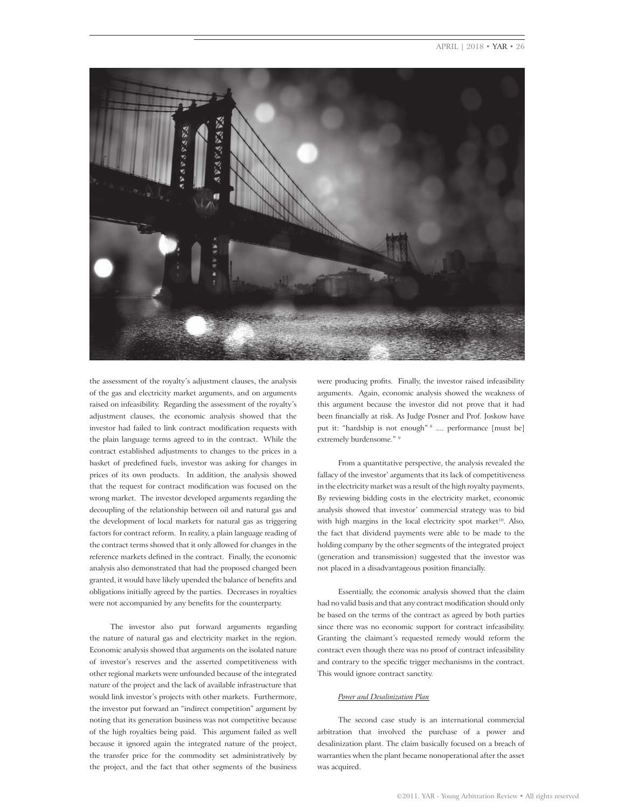## APRIL | 2018 • YAR • 26



the assessment of the royalty's adjustment clauses, the analysis of the gas and electricity market arguments, and on arguments raised on infeasibility. Regarding the assessment of the royalty's adjustment clauses, the economic analysis showed that the investor had failed to link contract modifcation requests with the plain language terms agreed to in the contract. while the contract established adjustments to changes to the prices in a basket of predefned fuels, investor was asking for changes in prices of its own products. In addition, the analysis showed that the request for contract modifcation was focused on the wrong market. The investor developed arguments regarding the decoupling of the relationship between oil and natural gas and the development of local markets for natural gas as triggering factors for contract reform. In reality, a plain language reading of the contract terms showed that it only allowed for changes in the reference markets defned in the contract. Finally, the economic analysis also demonstrated that had the proposed changed been granted, it would have likely upended the balance of benefts and obligations initially agreed by the parties. Decreases in royalties were not accompanied by any benefts for the counterparty.

The investor also put forward arguments regarding the nature of natural gas and electricity market in the region. Economic analysis showed that arguments on the isolated nature of investor's reserves and the asserted competitiveness with other regional markets were unfounded because of the integrated nature of the project and the lack of available infrastructure that would link investor's projects with other markets. Furthermore, the investor put forward an "indirect competition" argument by noting that its generation business was not competitive because of the high royalties being paid. This argument failed as well because it ignored again the integrated nature of the project, the transfer price for the commodity set administratively by the project, and the fact that other segments of the business

were producing profts. Finally, the investor raised infeasibility arguments. Again, economic analysis showed the weakness of this argument because the investor did not prove that it had been fnancially at risk. As Judge Posner and Prof. Joskow have put it: "hardship is not enough" 8 .... performance [must be] extremely burdensome." 9

From a quantitative perspective, the analysis revealed the fallacy of the investor' arguments that its lack of competitiveness in the electricity market was a result of the high royalty payments. By reviewing bidding costs in the electricity market, economic analysis showed that investor' commercial strategy was to bid with high margins in the local electricity spot market<sup>10</sup>. Also, the fact that dividend payments were able to be made to the holding company by the other segments of the integrated project (generation and transmission) suggested that the investor was not placed in a disadvantageous position fnancially.

Essentially, the economic analysis showed that the claim had no valid basis and that any contract modifcation should only be based on the terms of the contract as agreed by both parties since there was no economic support for contract infeasibility. Granting the claimant's requested remedy would reform the contract even though there was no proof of contract infeasibility and contrary to the specifc trigger mechanisms in the contract. This would ignore contract sanctity.

#### *Power and Desalinization Plan*

The second case study is an international commercial arbitration that involved the purchase of a power and desalinization plant. The claim basically focused on a breach of warranties when the plant became nonoperational after the asset was acquired.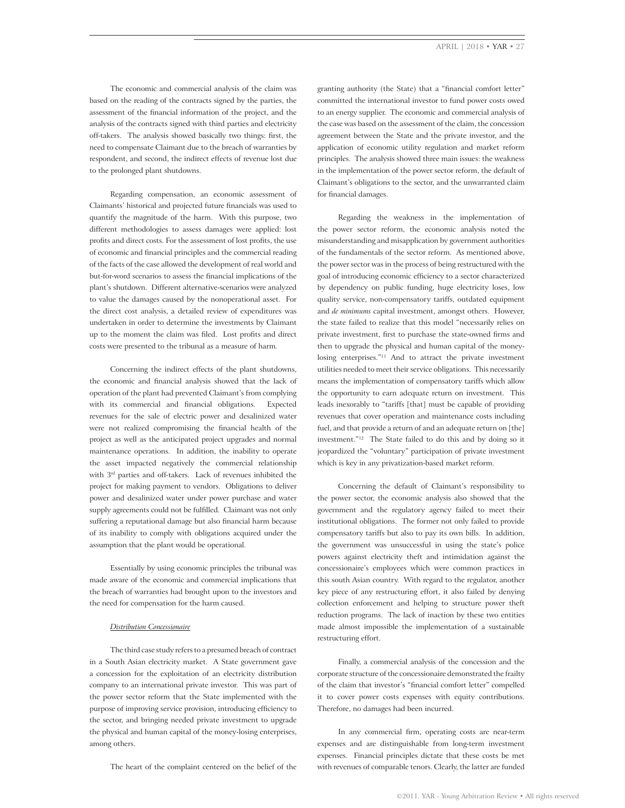The economic and commercial analysis of the claim was based on the reading of the contracts signed by the parties, the assessment of the fnancial information of the project, and the analysis of the contracts signed with third parties and electricity off-takers. The analysis showed basically two things: frst, the need to compensate Claimant due to the breach of warranties by respondent, and second, the indirect effects of revenue lost due to the prolonged plant shutdowns.

Regarding compensation, an economic assessment of Claimants' historical and projected future fnancials was used to quantify the magnitude of the harm. with this purpose, two different methodologies to assess damages were applied: lost profts and direct costs. For the assessment of lost profts, the use of economic and fnancial principles and the commercial reading of the facts of the case allowed the development of real world and but-for-word scenarios to assess the fnancial implications of the plant's shutdown. Different alternative-scenarios were analyzed to value the damages caused by the nonoperational asset. For the direct cost analysis, a detailed review of expenditures was undertaken in order to determine the investments by Claimant up to the moment the claim was fled. Lost profts and direct costs were presented to the tribunal as a measure of harm.

Concerning the indirect effects of the plant shutdowns, the economic and fnancial analysis showed that the lack of operation of the plant had prevented Claimant's from complying with its commercial and financial obligations. Expected revenues for the sale of electric power and desalinized water were not realized compromising the fnancial health of the project as well as the anticipated project upgrades and normal maintenance operations. In addition, the inability to operate the asset impacted negatively the commercial relationship with 3rd parties and off-takers. Lack of revenues inhibited the project for making payment to vendors. Obligations to deliver power and desalinized water under power purchase and water supply agreements could not be fulflled. Claimant was not only suffering a reputational damage but also fnancial harm because of its inability to comply with obligations acquired under the assumption that the plant would be operational.

Essentially by using economic principles the tribunal was made aware of the economic and commercial implications that the breach of warranties had brought upon to the investors and the need for compensation for the harm caused.

#### *Distribution Concessionaire*

The third case study refers to a presumed breach of contract in a South Asian electricity market. A State government gave a concession for the exploitation of an electricity distribution company to an international private investor. This was part of the power sector reform that the State implemented with the purpose of improving service provision, introducing effciency to the sector, and bringing needed private investment to upgrade the physical and human capital of the money-losing enterprises, among others.

The heart of the complaint centered on the belief of the

granting authority (the State) that a "fnancial comfort letter" committed the international investor to fund power costs owed to an energy supplier. The economic and commercial analysis of the case was based on the assessment of the claim, the concession agreement between the State and the private investor, and the application of economic utility regulation and market reform principles. The analysis showed three main issues: the weakness in the implementation of the power sector reform, the default of Claimant's obligations to the sector, and the unwarranted claim for fnancial damages.

Regarding the weakness in the implementation of the power sector reform, the economic analysis noted the misunderstanding and misapplication by government authorities of the fundamentals of the sector reform. As mentioned above, the power sector was in the process of being restructured with the goal of introducing economic efficiency to a sector characterized by dependency on public funding, huge electricity loses, low quality service, non-compensatory tariffs, outdated equipment and *de minimums* capital investment, amongst others. However, the state failed to realize that this model "necessarily relies on private investment, frst to purchase the state-owned frms and then to upgrade the physical and human capital of the moneylosing enterprises."<sup>11</sup> And to attract the private investment utilities needed to meet their service obligations. This necessarily means the implementation of compensatory tariffs which allow the opportunity to earn adequate return on investment. This leads inexorably to "tariffs [that] must be capable of providing revenues that cover operation and maintenance costs including fuel, and that provide a return of and an adequate return on [the] investment."<sup>12</sup> The State failed to do this and by doing so it jeopardized the "voluntary" participation of private investment which is key in any privatization-based market reform.

Concerning the default of Claimant's responsibility to the power sector, the economic analysis also showed that the government and the regulatory agency failed to meet their institutional obligations. The former not only failed to provide compensatory tariffs but also to pay its own bills. In addition, the government was unsuccessful in using the state's police powers against electricity theft and intimidation against the concessionaire's employees which were common practices in this south Asian country. with regard to the regulator, another key piece of any restructuring effort, it also failed by denying collection enforcement and helping to structure power theft reduction programs. The lack of inaction by these two entities made almost impossible the implementation of a sustainable restructuring effort.

Finally, a commercial analysis of the concession and the corporate structure of the concessionaire demonstrated the frailty of the claim that investor's "fnancial comfort letter" compelled it to cover power costs expenses with equity contributions. Therefore, no damages had been incurred.

In any commercial frm, operating costs are near-term expenses and are distinguishable from long-term investment expenses. Financial principles dictate that these costs be met with revenues of comparable tenors. Clearly, the latter are funded